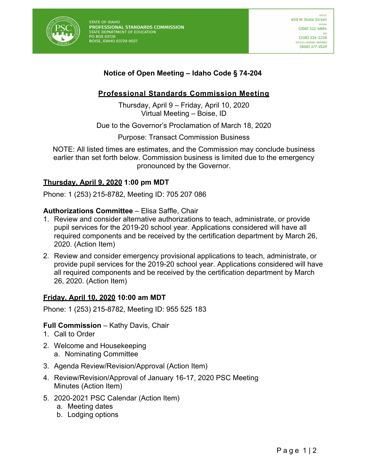

**STATE OF IDAHO** PROFESSIONAL STANDARDS COMMISSION STATE DEPARTMENT OF EDUCATION PO BOX 83720 BOISE, IDAHO 83720-0027

# **Notice of Open Meeting – Idaho Code § 74-204**

## **Professional Standards Commission Meeting**

Thursday, April 9 – Friday, April 10, 2020 Virtual Meeting – Boise, ID

Due to the Governor's Proclamation of March 18, 2020

Purpose: Transact Commission Business

NOTE: All listed times are estimates, and the Commission may conclude business earlier than set forth below. Commission business is limited due to the emergency pronounced by the Governor.

## **Thursday, April 9, 2020 1:00 pm MDT**

Phone: 1 (253) 215-8782, Meeting ID: 705 207 086

#### **Authorizations Committee** – Elisa Saffle, Chair

- 1. Review and consider alternative authorizations to teach, administrate, or provide pupil services for the 2019-20 school year. Applications considered will have all required components and be received by the certification department by March 26, 2020. (Action Item)
- 2. Review and consider emergency provisional applications to teach, administrate, or provide pupil services for the 2019-20 school year. Applications considered will have all required components and be received by the certification department by March 26, 2020. (Action Item)

## **Friday, April 10, 2020 10:00 am MDT**

Phone: 1 (253) 215-8782, Meeting ID: 955 525 183

#### **Full Commission** – Kathy Davis, Chair

- 1. Call to Order
- 2. Welcome and Housekeeping a. Nominating Committee
- 3. Agenda Review/Revision/Approval (Action Item)
- 4. Review/Revision/Approval of January 16-17, 2020 PSC Meeting Minutes (Action Item)
- 5. 2020-2021 PSC Calendar (Action Item)
	- a. Meeting dates
	- b. Lodging options